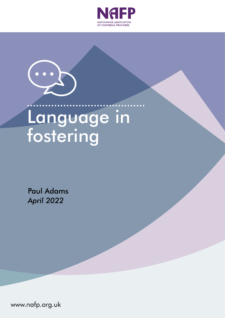



# Language in fostering

Paul Adams *April 2022*

www.nafp.org.uk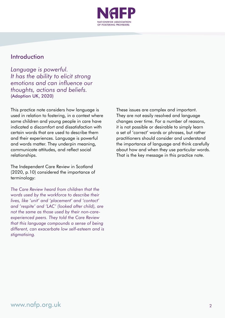

### Introduction

*Language is powerful. It has the ability to elicit strong emotions and can influence our thoughts, actions and beliefs.*  (Adoption UK, 2020)

This practice note considers how language is used in relation to fostering, in a context where some children and young people in care have indicated a discomfort and dissatisfaction with certain words that are used to describe them and their experiences. Language is powerful and words matter. They underpin meaning, communicate attitudes, and reflect social relationships.

The Independent Care Review in Scotland (2020, p.10) considered the importance of terminology:

*The Care Review heard from children that the words used by the workforce to describe their lives, like 'unit' and 'placement' and 'contact' and 'respite' and 'LAC' (looked after child), are not the same as those used by their non-careexperienced peers. They told the Care Review that this language compounds a sense of being different, can exacerbate low self-esteem and is stigmatising.*

These issues are complex and important. They are not easily resolved and language changes over time. For a number of reasons, it is not possible or desirable to simply learn a set of 'correct' words or phrases, but rather practitioners should consider and understand the importance of language and think carefully about how and when they use particular words. That is the key message in this practice note.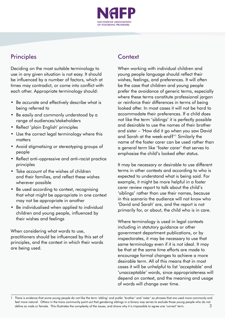

## **Principles**

Deciding on the most suitable terminology to use in any given situation is not easy. It should be influenced by a number of factors, which at times may contradict, or come into conflict with each other. Appropriate terminology should:

- Be accurate and effectively describe what is being referred to
- Be easily and commonly understood by a range of audiences/stakeholders
- Reflect 'plain English' principles
- Use the correct legal terminology where this matters
- Avoid stigmatising or stereotyping groups of people
- Reflect anti-oppressive and anti-racist practice principles
- Take account of the wishes of children and their families, and reflect these wishes wherever possible
- Be used according to context, recognising that what might be appropriate in one context may not be appropriate in another
- Be individualised when applied to individual children and young people, influenced by their wishes and feelings

When considering what words to use, practitioners should be influenced by this set of principles, and the context in which their words are being used.

## **Context**

When working with individual children and young people language should reflect their wishes, feelings, and preferences. It will often be the case that children and young people prefer the avoidance of generic terms, especially where these terms constitute professional jargon or reinforce their differences in terms of being looked after. In most cases it will not be hard to accommodate their preferences. If a child does not like the term 'siblings' it is perfectly possible and desirable to use the names of their brother and sister – 'How did it go when you saw David and Sarah at the week-end?'1 Similarly the name of the foster carer can be used rather than a general term like 'foster carer' that serves to emphasise the child's looked after status.

It may be necessary or desirable to use different terms in other contexts and according to who is expected to understand what is being said. For example, it might be more helpful in a foster carer review report to talk about the child's 'siblings' rather than use their names, because in this scenario the audience will not know who 'David and Sarah' are, and the report is not primarily for, or about, the child who is in care.

Where terminology is used in legal contexts including in statutory guidance or other government department publications, or by inspectorates, it may be necessary to use that same terminology even if it is not ideal. It may be that at the same time efforts are made to encourage formal changes to achieve a more desirable term. All of this means that in most cases it will be unhelpful to list 'acceptable' and 'unacceptable' words, since appropriateness will depend on context, and the meaning and usage of words will change over time.

<sup>3</sup> 1 There is evidence that some young people do not like the term 'sibling' and prefer 'brother' and 'sister' as phrases that are used more commonly and feel more natural. Others in the trans community point out that gendering siblings in a binary way serves to exclude those young people who do not define as male or female. This illustrates the complexity of the issues, and shows why it is impossible to agree one 'correct' term.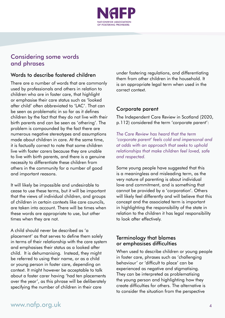

## Considering some words and phrases

#### Words to describe fostered children

There are a number of words that are commonly used by professionals and others in relation to children who are in foster care, that highlight or emphasise their care status such as 'looked after child' often abbreviated to 'LAC'. That can be seen as problematic in so far as it defines children by the fact that they do not live with their birth parents and can be seen as 'othering'. The problem is compounded by the fact there are numerous negative stereotypes and assumptions made about children in care. At the same time, it is factually correct to note that some children live with foster carers because they are unable to live with birth parents, and there is a genuine necessity to differentiate these children from others in the community for a number of good and important reasons.

It will likely be impossible and undesirable to cease to use these terms, but it will be important that the views of individual children, and groups of children in certain contexts like care councils, are taken into account. There will be times when these words are appropriate to use, but other times when they are not.

A child should never be described as 'a placement' as that serves to define them solely in terms of their relationship with the care system and emphasises their status as a looked after child. It is dehumanising. Instead, they might be referred to using their name, or as a child or young person in foster care, depending on context. It might however be acceptable to talk about a foster carer having 'had ten placements over the year', as this phrase will be deliberately specifying the number of children in their care

under fostering regulations, and differentiating them from other children in the household. It is an appropriate legal term when used in the correct context.

#### Corporate parent

The Independent Care Review in Scotland (2020, p.112) considered the term 'corporate parent':

*The Care Review has heard that the term 'corporate parent' feels cold and impersonal and at odds with an approach that seeks to uphold relationships that make children feel loved, safe and respected.*

Some young people have suggested that this is a meaningless and misleading term, as the very nature of parenting is about individual love and commitment, and is something that cannot be provided by a 'corporation'. Others will likely feel differently and will believe that this concept and the associated term is important in highlighting the responsibility of the state in relation to the children it has legal responsibility to look after effectively.

#### Terminology that blames or emphasises difficulties

When used to describe children or young people in foster care, phrases such as 'challenging behaviour' or 'difficult to place' can be experienced as negative and stigmatising. They can be interpreted as problematising the young person and highlighting how they create difficulties for others. The alternative is to consider the situation from the perspective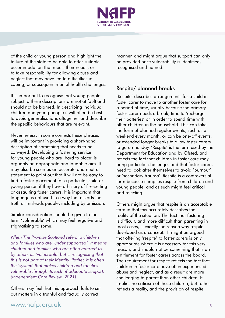

of the child or young person and highlight the failure of the state to be able to offer suitable accommodation that meets their needs, or to take responsibility for allowing abuse and neglect that may have led to difficulties in coping, or subsequent mental health challenges.

It is important to recognise that young people subject to these descriptions are not at fault and should not be blamed. In describing individual children and young people it will often be best to avoid generalisations altogether and describe the specific behaviours that are relevant.

Nevertheless, in some contexts these phrases will be important in providing a short-hand description of something that needs to be conveyed. Developing a fostering service for young people who are 'hard to place' is arguably an appropriate and laudable aim. It may also be seen as an accurate and neutral statement to point out that it will not be easy to find a foster placement for a particular child or young person if they have a history of fire-setting or assaulting foster carers. It is important that language is not used in a way that distorts the truth or misleads people, including by omission.

Similar consideration should be given to the term 'vulnerable' which may feel negative and stigmatising to some.

*When The Promise Scotland refers to children and families who are 'under supported', it means children and families who are often referred to by others as 'vulnerable' but is recognising that this is not part of their identity. Rather, it is often the 'system' that makes children and families vulnerable through its lack of adequate support. (Independent Care Review, 2021)*

Others may feel that this approach fails to set out matters in a truthful and factually correct

manner, and might argue that support can only be provided once vulnerability is identified, recognised and named.

#### Respite/ planned breaks

'Respite' describes arrangements for a child in foster carer to move to another foster care for a period of time, usually because the primary foster carer needs a break, time to 'recharge their batteries' or in order to spend time with other children in the household. This can take the form of planned regular events, such as a weekend every month, or can be one-off events, or extended longer breaks to allow foster carers to go on holiday. 'Respite' is the term used by the Department for Education and by Ofsted, and reflects the fact that children in foster care may bring particular challenges and that foster carers need to look after themselves to avoid 'burnout' or 'secondary trauma'. Respite is a controversial term because it implies respite from children and young people, and as such might feel critical and rejecting.

Others might argue that respite is an acceptable term in that this accurately describes the reality of the situation. The fact that fostering is difficult, and more difficult than parenting in most cases, is exactly the reason why respite developed as a concept. It might be argued that offering 'respite' to foster carers is only appropriate where it is necessary for this very reason, and should not be something that is an entitlement for foster carers across the board. The requirement for respite reflects the fact that children in foster care have often experienced abuse and neglect, and as a result are more challenging to parent than other children. It implies no criticism of those children, but rather reflects a reality, and the provision of respite

## [www.nafp.org.uk](https://www.nafp.org.uk/) 5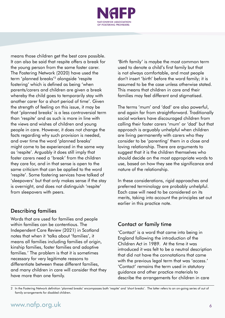

means those children get the best care possible. It can also be said that respite offers a break for the young person from the same foster carer. The Fostering Network (2020) have used the term 'planned breaks'2 alongside 'respite fostering' which is defined as being 'when parents/carers and children are given a break whereby the child goes to temporarily stay with another carer for a short period of time'. Given the strength of feeling on this issue, it may be that 'planned breaks' is a less controversial term than 'respite' and as such is more in line with the views and wishes of children and young people in care. However, it does not change the facts regarding why such provision is needed, and over time the word 'planned breaks' might come to be experienced in the same way as 'respite'. Arguably it does still imply that foster carers need a 'break' from the children they care for, and in that sense is open to the same criticism that can be applied to the word 'respite'. Some fostering services have talked of 'sleepovers' but that only makes sense if the stay is overnight, and does not distinguish 'respite' from sleepovers with peers.

#### Describing families

Words that are used for families and people within families can be contentious. The Independent Care Review (2021) in Scotland notes that when it 'talks about 'families', it means all families including families of origin, kinship families, foster families and adoptive families.' The problem is that it is sometimes necessary for very legitimate reasons to differentiate between these different families, and many children in care will consider that they have more than one family.

'Birth family' is maybe the most common term used to denote a child's first family but that is not always comfortable, and most people don't insert 'birth' before the word family; it is assumed to be the case unless otherwise stated. This means that children in care and their families may feel different and stigmatised.

The terms 'mum' and 'dad' are also powerful, and again far from straightforward. Traditionally social workers have discouraged children from calling their foster carers 'mum' or 'dad' but that approach is arguably unhelpful when children are living permanently with carers who they consider to be 'parenting' them in a close and loving relationship. There are arguments to suggest that it is the children themselves who should decide on the most appropriate words to use, based on how they see the significance and nature of the relationship.

In these considerations, rigid approaches and preferred terminology are probably unhelpful. Each case will need to be considered on its merits, taking into account the principles set out earlier in this practice note.

#### Contact or family time

'Contact' is a word that came into being in England following the introduction of the Children Act in 1989. At the time it was introduced it was felt to be a neutral description that did not have the connotations that came with the previous legal term that was 'access.' 'Contact' remains the term used in statutory guidance and other practice materials to describe the arrangements for children in care

2 In the Fostering Network definition 'planned breaks' encompasses both 'respite' and 'short breaks'. The latter refers to an on-going series of out of family arrangements for disabled children.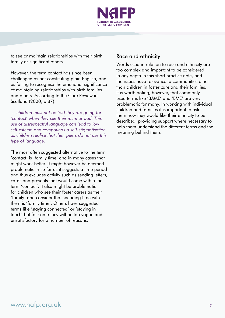

to see or maintain relationships with their birth family or significant others.

However, the term contact has since been challenged as not constituting plain English, and as failing to recognise the emotional significance of maintaining relationships with birth families and others. According to the Care Review in Scotland (2020, p.87):

*… children must not be told they are going for 'contact' when they see their mum or dad. This use of disrespectful language can lead to low self-esteem and compounds a self-stigmatisation as children realise that their peers do not use this type of language.*

The most often suggested alternative to the term 'contact' is 'family time' and in many cases that might work better. It might however be deemed problematic in so far as it suggests a time period and thus excludes activity such as sending letters, cards and presents that would come within the term 'contact'. It also might be problematic for children who see their foster carers as their 'family' and consider that spending time with them is 'family time'. Others have suggested terms like 'staying connected' or 'staying in touch' but for some they will be too vague and unsatisfactory for a number of reasons.

#### Race and ethnicity

Words used in relation to race and ethnicity are too complex and important to be considered in any depth in this short practice note, and the issues have relevance to communities other than children in foster care and their families. It is worth noting, however, that commonly used terms like 'BAME' and 'BME' are very problematic for many. In working with individual children and families it is important to ask them how they would like their ethnicity to be described, providing support where necessary to help them understand the different terms and the meaning behind them.